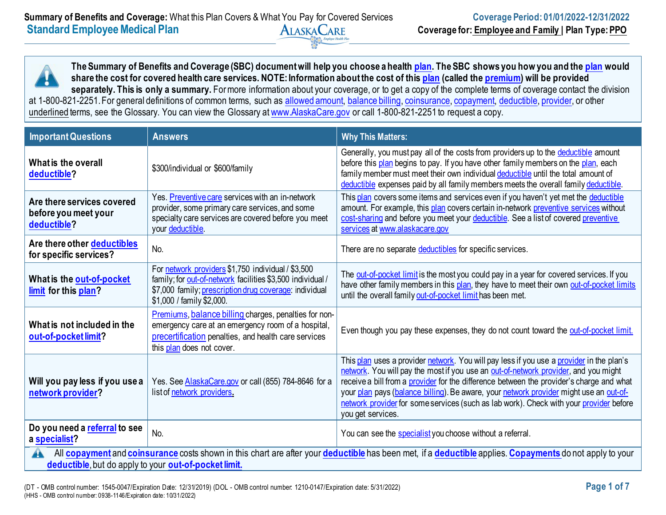**The Summary of Benefits and Coverage (SBC) document will help you choose a health [plan.](https://www.healthcare.gov/sbc-glossary/#plan) The SBC shows you how you and the [plan](https://www.healthcare.gov/sbc-glossary/#plan) would share the cost for covered health care services. NOTE: Information about the cost of this [plan](https://www.healthcare.gov/sbc-glossary/#plan) (called the [premium\)](https://www.healthcare.gov/sbc-glossary/#premium) will be provided**  separately. This is only a summary. For more information about your coverage, or to get a copy of the complete terms of coverage contact the division at 1-800-821-2251. For general definitions of common terms, such as [allowed amount,](https://www.healthcare.gov/sbc-glossary/#allowed-amount) [balance billing,](https://www.healthcare.gov/sbc-glossary/#balance-billing) [coinsurance,](https://www.healthcare.gov/sbc-glossary/#coinsurance) [copayment,](https://www.healthcare.gov/sbc-glossary/#copayment) [deductible,](https://www.healthcare.gov/sbc-glossary/#deductible) [provider,](https://www.healthcare.gov/sbc-glossary/#provider) or other underlined terms, see the Glossary. You can view the Glossary at [www.AlaskaCare.gov](http://www.alaskacare.gov/) or call 1-800-821-2251 to request a copy.

| <b>Important Questions</b>                                                                                                                                                                                                                         | <b>Answers</b>                                                                                                                                                                                          | <b>Why This Matters:</b>                                                                                                                                                                                                                                                                                                                                                                                                                                                             |  |
|----------------------------------------------------------------------------------------------------------------------------------------------------------------------------------------------------------------------------------------------------|---------------------------------------------------------------------------------------------------------------------------------------------------------------------------------------------------------|--------------------------------------------------------------------------------------------------------------------------------------------------------------------------------------------------------------------------------------------------------------------------------------------------------------------------------------------------------------------------------------------------------------------------------------------------------------------------------------|--|
| What is the overall<br>deductible?                                                                                                                                                                                                                 | \$300/individual or \$600/family                                                                                                                                                                        | Generally, you must pay all of the costs from providers up to the deductible amount<br>before this plan begins to pay. If you have other family members on the plan, each<br>family member must meet their own individual deductible until the total amount of<br>deductible expenses paid by all family members meets the overall family deductible.                                                                                                                                |  |
| Are there services covered<br>before you meet your<br>deductible?                                                                                                                                                                                  | Yes. Preventive care services with an in-network<br>provider, some primary care services, and some<br>specialty care services are covered before you meet<br>your deductible.                           | This plan covers some items and services even if you haven't yet met the deductible<br>amount. For example, this plan covers certain in-network preventive services without<br>cost-sharing and before you meet your deductible. See a list of covered preventive<br>services at www.alaskacare.gov                                                                                                                                                                                  |  |
| Are there other deductibles<br>for specific services?                                                                                                                                                                                              | No.                                                                                                                                                                                                     | There are no separate deductibles for specific services.                                                                                                                                                                                                                                                                                                                                                                                                                             |  |
| What is the out-of-pocket<br>limit for this plan?                                                                                                                                                                                                  | For network providers \$1,750 individual / \$3,500<br>family; for out-of-network facilities \$3,500 individual /<br>\$7,000 family; prescription drug coverage: individual<br>\$1,000 / family \$2,000. | The out-of-pocket limit is the most you could pay in a year for covered services. If you<br>have other family members in this plan, they have to meet their own out-of-pocket limits<br>until the overall family out-of-pocket limit has been met.                                                                                                                                                                                                                                   |  |
| What is not included in the<br>out-of-pocket limit?                                                                                                                                                                                                | Premiums, balance billing charges, penalties for non-<br>emergency care at an emergency room of a hospital,<br>precertification penalties, and health care services<br>this plan does not cover.        | Even though you pay these expenses, they do not count toward the out-of-pocket limit.                                                                                                                                                                                                                                                                                                                                                                                                |  |
| Will you pay less if you use a<br>network provider?                                                                                                                                                                                                | Yes. See AlaskaCare.gov or call (855) 784-8646 for a<br>list of network providers.                                                                                                                      | This plan uses a provider network. You will pay less if you use a provider in the plan's<br>network. You will pay the most if you use an out-of-network provider, and you might<br>receive a bill from a provider for the difference between the provider's charge and what<br>your plan pays (balance billing). Be aware, your network provider might use an out-of-<br>network provider for some services (such as lab work). Check with your provider before<br>you get services. |  |
| Do you need a referral to see<br>a specialist?                                                                                                                                                                                                     | No.                                                                                                                                                                                                     | You can see the specialist you choose without a referral.                                                                                                                                                                                                                                                                                                                                                                                                                            |  |
| All <b>copayment</b> and <b>coinsurance</b> costs shown in this chart are after your <b>deductible</b> has been met, if a <b>deductible</b> applies. Copayments do not apply to your<br>A<br>deductible, but do apply to your out-of-pocket limit. |                                                                                                                                                                                                         |                                                                                                                                                                                                                                                                                                                                                                                                                                                                                      |  |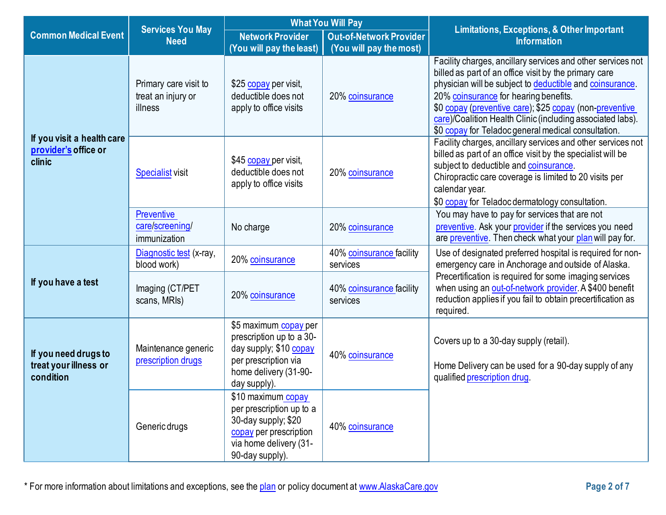|                                                              |                                                        | <b>What You Will Pay</b>                                                                                                                     |                                                           |                                                                                                                                                                                                                                                                                                                                                                                                           |  |
|--------------------------------------------------------------|--------------------------------------------------------|----------------------------------------------------------------------------------------------------------------------------------------------|-----------------------------------------------------------|-----------------------------------------------------------------------------------------------------------------------------------------------------------------------------------------------------------------------------------------------------------------------------------------------------------------------------------------------------------------------------------------------------------|--|
| <b>Common Medical Event</b>                                  | <b>Services You May</b><br><b>Need</b>                 | <b>Network Provider</b><br>(You will pay the least)                                                                                          | <b>Out-of-Network Provider</b><br>(You will pay the most) | <b>Limitations, Exceptions, &amp; Other Important</b><br><b>Information</b>                                                                                                                                                                                                                                                                                                                               |  |
|                                                              | Primary care visit to<br>treat an injury or<br>illness | \$25 copay per visit,<br>deductible does not<br>apply to office visits                                                                       | 20% coinsurance                                           | Facility charges, ancillary services and other services not<br>billed as part of an office visit by the primary care<br>physician will be subject to deductible and coinsurance.<br>20% coinsurance for hearing benefits.<br>\$0 copay (preventive care); \$25 copay (non-preventive<br>care)/Coalition Health Clinic (including associated labs).<br>\$0 copay for Teladoc general medical consultation. |  |
| If you visit a health care<br>provider's office or<br>clinic | <b>Specialist</b> visit                                | \$45 copay per visit,<br>deductible does not<br>apply to office visits                                                                       | 20% coinsurance                                           | Facility charges, ancillary services and other services not<br>billed as part of an office visit by the specialist will be<br>subject to deductible and coinsurance.<br>Chiropractic care coverage is limited to 20 visits per<br>calendar year.<br>\$0 copay for Teladoc dermatology consultation.                                                                                                       |  |
|                                                              | <b>Preventive</b><br>care/screening/<br>immunization   | No charge                                                                                                                                    | 20% coinsurance                                           | You may have to pay for services that are not<br>preventive. Ask your provider if the services you need<br>are preventive. Then check what your plan will pay for.                                                                                                                                                                                                                                        |  |
|                                                              | Diagnostic test (x-ray,<br>blood work)                 | 20% coinsurance                                                                                                                              | 40% coinsurance facility<br>services                      | Use of designated preferred hospital is required for non-<br>emergency care in Anchorage and outside of Alaska.                                                                                                                                                                                                                                                                                           |  |
| If you have a test                                           | Imaging (CT/PET<br>scans, MRIs)                        | 20% coinsurance                                                                                                                              | 40% coinsurance facility<br>services                      | Precertification is required for some imaging services<br>when using an out-of-network provider A \$400 benefit<br>reduction applies if you fail to obtain precertification as<br>required.                                                                                                                                                                                                               |  |
| If you need drugs to<br>treat your illness or<br>condition   | Maintenance generic<br>prescription drugs              | \$5 maximum copay per<br>prescription up to a 30-<br>day supply; \$10 copay<br>per prescription via<br>home delivery (31-90-<br>day supply). | 40% coinsurance                                           | Covers up to a 30-day supply (retail).<br>Home Delivery can be used for a 90-day supply of any<br>qualified prescription drug.                                                                                                                                                                                                                                                                            |  |
|                                                              | Generic drugs                                          | \$10 maximum copay<br>per prescription up to a<br>30-day supply; \$20<br>copay per prescription<br>via home delivery (31-<br>90-day supply). | 40% coinsurance                                           |                                                                                                                                                                                                                                                                                                                                                                                                           |  |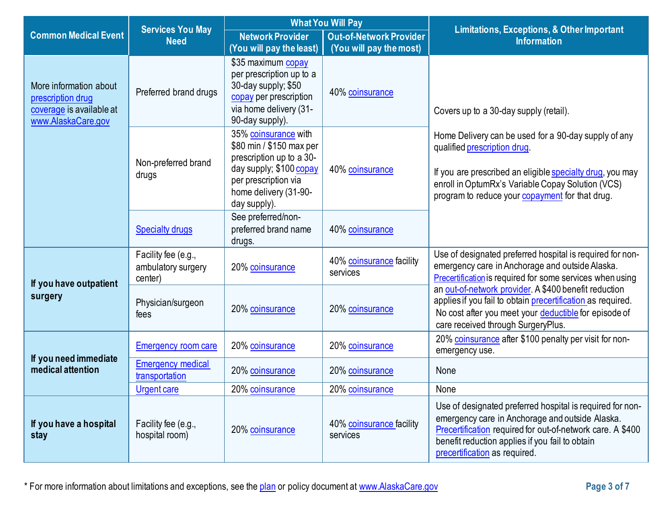|                                                                                               | <b>Services You May</b>                              |                                                                                                                                                                          | <b>What You Will Pay</b>             | <b>Limitations, Exceptions, &amp; Other Important</b>                                                                                                                                                                                                          |
|-----------------------------------------------------------------------------------------------|------------------------------------------------------|--------------------------------------------------------------------------------------------------------------------------------------------------------------------------|--------------------------------------|----------------------------------------------------------------------------------------------------------------------------------------------------------------------------------------------------------------------------------------------------------------|
| <b>Common Medical Event</b>                                                                   | <b>Need</b>                                          | <b>Network Provider</b>                                                                                                                                                  | <b>Out-of-Network Provider</b>       | <b>Information</b>                                                                                                                                                                                                                                             |
|                                                                                               |                                                      | (You will pay the least)                                                                                                                                                 | (You will pay the most)              |                                                                                                                                                                                                                                                                |
| More information about<br>prescription drug<br>coverage is available at<br>www.AlaskaCare.gov | Preferred brand drugs                                | \$35 maximum copay<br>per prescription up to a<br>30-day supply; \$50<br>copay per prescription<br>via home delivery (31-<br>90-day supply).                             | 40% coinsurance                      | Covers up to a 30-day supply (retail).                                                                                                                                                                                                                         |
|                                                                                               | Non-preferred brand<br>drugs                         | 35% coinsurance with<br>\$80 min / \$150 max per<br>prescription up to a 30-<br>day supply; \$100 copay<br>per prescription via<br>home delivery (31-90-<br>day supply). | 40% coinsurance                      | Home Delivery can be used for a 90-day supply of any<br>qualified prescription drug.<br>If you are prescribed an eligible specialty drug, you may<br>enroll in OptumRx's Variable Copay Solution (VCS)<br>program to reduce your copayment for that drug.      |
|                                                                                               | <b>Specialty drugs</b>                               | See preferred/non-<br>preferred brand name<br>drugs.                                                                                                                     | 40% coinsurance                      |                                                                                                                                                                                                                                                                |
| If you have outpatient                                                                        | Facility fee (e.g.,<br>ambulatory surgery<br>center) | 20% coinsurance                                                                                                                                                          | 40% coinsurance facility<br>services | Use of designated preferred hospital is required for non-<br>emergency care in Anchorage and outside Alaska.<br>Precertification is required for some services when using                                                                                      |
| surgery                                                                                       | Physician/surgeon<br>fees                            | 20% coinsurance                                                                                                                                                          | 20% coinsurance                      | an out-of-network provider. A \$400 benefit reduction<br>applies if you fail to obtain precertification as required.<br>No cost after you meet your deductible for episode of<br>care received through SurgeryPlus.                                            |
| If you need immediate                                                                         | <b>Emergency room care</b>                           | 20% coinsurance                                                                                                                                                          | 20% coinsurance                      | 20% coinsurance after \$100 penalty per visit for non-<br>emergency use.                                                                                                                                                                                       |
| medical attention                                                                             | <b>Emergency medical</b><br>transportation           | 20% coinsurance                                                                                                                                                          | 20% coinsurance                      | None                                                                                                                                                                                                                                                           |
|                                                                                               | <b>Urgent care</b>                                   | 20% coinsurance                                                                                                                                                          | 20% coinsurance                      | None                                                                                                                                                                                                                                                           |
| If you have a hospital<br>stay                                                                | Facility fee (e.g.,<br>hospital room)                | 20% coinsurance                                                                                                                                                          | 40% coinsurance facility<br>services | Use of designated preferred hospital is required for non-<br>emergency care in Anchorage and outside Alaska.<br>Precertification required for out-of-network care. A \$400<br>benefit reduction applies if you fail to obtain<br>precertification as required. |

\* For more information about limitations and exceptions, see the [plan](https://www.healthcare.gov/sbc-glossary/#plan) or policy document at [www.AlaskaCare.gov](http://www.alaskacare.gov/) **Page 3 of 7**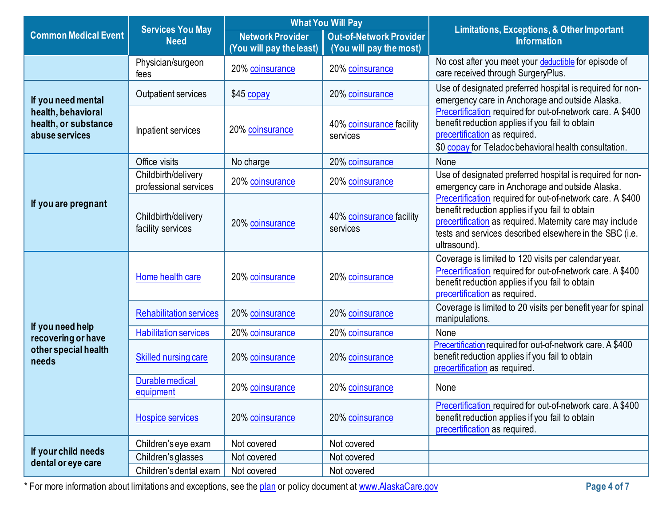|                                                              | <b>What You Will Pay</b>                     |                                                     | <b>Limitations, Exceptions, &amp; Other Important</b>     |                                                                                                                                                                                                                                                      |  |
|--------------------------------------------------------------|----------------------------------------------|-----------------------------------------------------|-----------------------------------------------------------|------------------------------------------------------------------------------------------------------------------------------------------------------------------------------------------------------------------------------------------------------|--|
| <b>Common Medical Event</b>                                  | <b>Services You May</b><br><b>Need</b>       | <b>Network Provider</b><br>(You will pay the least) | <b>Out-of-Network Provider</b><br>(You will pay the most) | <b>Information</b>                                                                                                                                                                                                                                   |  |
|                                                              | Physician/surgeon<br>fees                    | 20% coinsurance                                     | 20% coinsurance                                           | No cost after you meet your deductible for episode of<br>care received through SurgeryPlus.                                                                                                                                                          |  |
| If you need mental                                           | Outpatient services                          | \$45 copay                                          | 20% coinsurance                                           | Use of designated preferred hospital is required for non-<br>emergency care in Anchorage and outside Alaska.                                                                                                                                         |  |
| health, behavioral<br>health, or substance<br>abuse services | Inpatient services                           | 20% coinsurance                                     | 40% coinsurance facility<br>services                      | Precertification required for out-of-network care. A \$400<br>benefit reduction applies if you fail to obtain<br>precertification as required.<br>\$0 copay for Teladoc behavioral health consultation.                                              |  |
|                                                              | Office visits                                | No charge                                           | 20% coinsurance                                           | None                                                                                                                                                                                                                                                 |  |
|                                                              | Childbirth/delivery<br>professional services | 20% coinsurance                                     | 20% coinsurance                                           | Use of designated preferred hospital is required for non-<br>emergency care in Anchorage and outside Alaska.                                                                                                                                         |  |
| If you are pregnant                                          | Childbirth/delivery<br>facility services     | 20% coinsurance                                     | 40% coinsurance facility<br>services                      | Precertification required for out-of-network care. A \$400<br>benefit reduction applies if you fail to obtain<br>precertification as required. Maternity care may include<br>tests and services described elsewhere in the SBC (i.e.<br>ultrasound). |  |
|                                                              | Home health care                             | 20% coinsurance                                     | 20% coinsurance                                           | Coverage is limited to 120 visits per calendar year.<br>Precertification required for out-of-network care. A \$400<br>benefit reduction applies if you fail to obtain<br>precertification as required.                                               |  |
|                                                              | <b>Rehabilitation services</b>               | 20% coinsurance                                     | 20% coinsurance                                           | Coverage is limited to 20 visits per benefit year for spinal<br>manipulations.                                                                                                                                                                       |  |
| If you need help<br>recovering or have                       | <b>Habilitation services</b>                 | 20% coinsurance                                     | 20% coinsurance                                           | None                                                                                                                                                                                                                                                 |  |
| other special health<br>needs                                | <b>Skilled nursing care</b>                  | 20% coinsurance                                     | 20% coinsurance                                           | Precertification required for out-of-network care. A \$400<br>benefit reduction applies if you fail to obtain<br>precertification as required.                                                                                                       |  |
|                                                              | Durable medical<br>equipment                 | 20% coinsurance                                     | 20% coinsurance                                           | None                                                                                                                                                                                                                                                 |  |
|                                                              | <b>Hospice services</b>                      | 20% coinsurance                                     | 20% coinsurance                                           | Precertification required for out-of-network care. A \$400<br>benefit reduction applies if you fail to obtain<br>precertification as required.                                                                                                       |  |
|                                                              | Children's eye exam                          | Not covered                                         | Not covered                                               |                                                                                                                                                                                                                                                      |  |
| If your child needs<br>dental or eye care                    | Children's glasses                           | Not covered                                         | Not covered                                               |                                                                                                                                                                                                                                                      |  |
|                                                              | Children's dental exam                       | Not covered                                         | Not covered                                               |                                                                                                                                                                                                                                                      |  |

\* For more information about limitations and exceptions, see the [plan](https://www.healthcare.gov/sbc-glossary/#plan) or policy document at [www.AlaskaCare.gov](http://www.alaskacare.gov/) **Page 4 of 7**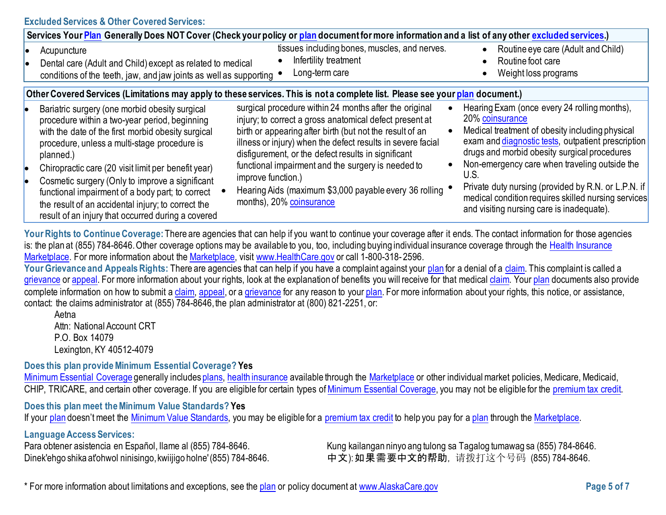## **Excluded Services & Other Covered Services:**

| Services Your Plan Generally Does NOT Cover (Check your policy or plan document for more information and a list of any other excluded services.)                                                                                                                                                                                                                                                                                                                                             |                                                                                                                                                                                                                                                                                                                                                                                                                                                                       |                                                                                                                                                                                                                                                                                                                                                                                                                                              |
|----------------------------------------------------------------------------------------------------------------------------------------------------------------------------------------------------------------------------------------------------------------------------------------------------------------------------------------------------------------------------------------------------------------------------------------------------------------------------------------------|-----------------------------------------------------------------------------------------------------------------------------------------------------------------------------------------------------------------------------------------------------------------------------------------------------------------------------------------------------------------------------------------------------------------------------------------------------------------------|----------------------------------------------------------------------------------------------------------------------------------------------------------------------------------------------------------------------------------------------------------------------------------------------------------------------------------------------------------------------------------------------------------------------------------------------|
| Acupuncture<br>Dental care (Adult and Child) except as related to medical<br>conditions of the teeth, jaw, and jaw joints as well as supporting                                                                                                                                                                                                                                                                                                                                              | tissues including bones, muscles, and nerves.<br>Infertility treatment<br>Long-term care                                                                                                                                                                                                                                                                                                                                                                              | Routine eye care (Adult and Child)<br>Routine foot care<br>Weight loss programs                                                                                                                                                                                                                                                                                                                                                              |
| Other Covered Services (Limitations may apply to these services. This is not a complete list. Please see your plan document.)                                                                                                                                                                                                                                                                                                                                                                |                                                                                                                                                                                                                                                                                                                                                                                                                                                                       |                                                                                                                                                                                                                                                                                                                                                                                                                                              |
| Bariatric surgery (one morbid obesity surgical<br>procedure within a two-year period, beginning<br>with the date of the first morbid obesity surgical<br>procedure, unless a multi-stage procedure is<br>planned.)<br>Chiropractic care (20 visit limit per benefit year)<br>Cosmetic surgery (Only to improve a significant<br>functional impairment of a body part; to correct<br>the result of an accidental injury; to correct the<br>result of an injury that occurred during a covered | surgical procedure within 24 months after the original<br>injury; to correct a gross anatomical defect present at<br>birth or appearing after birth (but not the result of an<br>illness or injury) when the defect results in severe facial<br>disfigurement, or the defect results in significant<br>functional impairment and the surgery is needed to<br>improve function.)<br>Hearing Aids (maximum \$3,000 payable every 36 rolling<br>months), 20% coinsurance | Hearing Exam (once every 24 rolling months),<br>20% coinsurance<br>Medical treatment of obesity including physical<br>exam and diagnostic tests, outpatient prescription<br>drugs and morbid obesity surgical procedures<br>Non-emergency care when traveling outside the<br>U.S.<br>Private duty nursing (provided by R.N. or L.P.N. if<br>medical condition requires skilled nursing services<br>and visiting nursing care is inadequate). |

Your Rights to Continue Coverage: There are agencies that can help if you want to continue your coverage after it ends. The contact information for those agencies is: the plan at (855) 784-8646. Other coverage options may be available to you, too, including buying individual insurance coverage through the [Health Insurance](https://www.healthcare.gov/sbc-glossary/#health-insurance) [Marketplace.](https://www.healthcare.gov/sbc-glossary/#marketplace) For more information about th[e Marketplace,](https://www.healthcare.gov/sbc-glossary/#marketplace) visit [www.HealthCare.gov](http://www.healthcare.gov/) or call 1-800-318-2596.

Your Grievance and Appeals Rights: There are agencies that can help if you have a complaint against your [plan](https://www.healthcare.gov/sbc-glossary/#plan) for a denial of a [claim.](https://www.healthcare.gov/sbc-glossary/#claim) This complaint is called a [grievance](https://www.healthcare.gov/sbc-glossary/#grievance) o[r appeal.](https://www.healthcare.gov/sbc-glossary/#appeal) For more information about your rights, look at the explanation of benefits you will receive for that medical [claim.](https://www.healthcare.gov/sbc-glossary/#claim) You[r plan](https://www.healthcare.gov/sbc-glossary/#plan) documents also provide complete information on how to submit a [claim,](https://www.healthcare.gov/sbc-glossary/#claim) [appeal,](https://www.healthcare.gov/sbc-glossary/#appeal) or a [grievance](https://www.healthcare.gov/sbc-glossary/#grievance) for any reason to your [plan.](https://www.healthcare.gov/sbc-glossary/#plan) For more information about your rights, this notice, or assistance, contact: the claims administrator at (855) 784-8646,the plan administrator at (800) 821-2251, or:

Aetna Attn: National Account CRT P.O. Box 14079 [Lexington,](http://www.aetna.com/individuals-families-health-insurance/rights-resources/complaints-grievances-appeals/index.html) KY 40512-4079

## **Does this plan provide Minimum Essential Coverage? Yes**

[Minimum Essential Coverage](https://www.healthcare.gov/sbc-glossary/#minimum-essential-coverage) generally include[s plans,](https://www.healthcare.gov/sbc-glossary/#plan) [health insurance](https://www.healthcare.gov/sbc-glossary/#health-insurance) available through the [Marketplace](https://www.healthcare.gov/sbc-glossary/#marketplace) or other individual market policies, Medicare, Medicaid, CHIP, TRICARE, and certain other coverage. If you are eligible for certain types of [Minimum Essential Coverage,](https://www.healthcare.gov/sbc-glossary/#minimum-essential-coverage) you may not be eligible for the [premium tax credit.](https://www.healthcare.gov/sbc-glossary/#premium-tax-credits)

## **Does this plan meet the Minimum Value Standards? Yes**

If your [plan](https://www.healthcare.gov/sbc-glossary/#plan) doesn't meet the [Minimum Value Standards,](https://www.healthcare.gov/sbc-glossary/#minimum-value-standard) you may be eligible for a [premium tax credit](https://www.healthcare.gov/sbc-glossary/#premium-tax-credits) to help you pay for [a plan](https://www.healthcare.gov/sbc-glossary/#plan) through the [Marketplace.](https://www.healthcare.gov/sbc-glossary/#marketplace)

#### **Language Access Services:**

Para obtener asistencia en Español, Ilame al (855) 784-8646. Kung kailangan ninyo ang tulong sa Tagalog tumawag sa (855) 784-8646. Dinek'ehgo shika at'ohwol ninisingo, kwiijigo holne'(855) 784-8646. 中文): 如果需要中文的帮助, 请拨打这个号码 (855) 784-8646.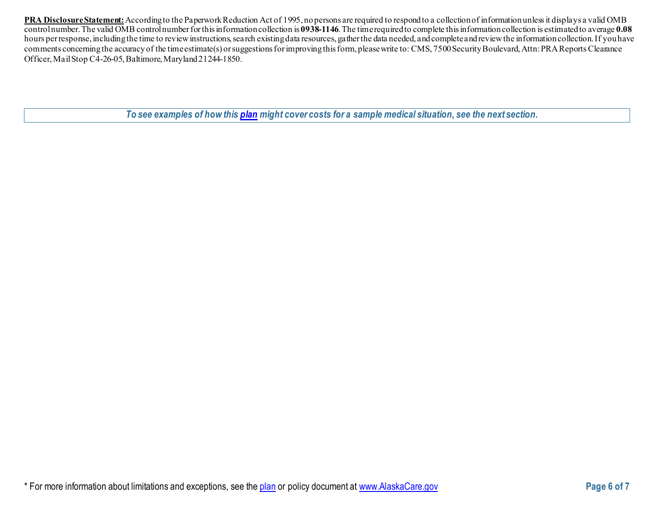**PRA Disclosure Statement:**According to the Paperwork Reduction Act of 1995, no persons are required to respond to a collection of information unless it displays a valid OMB control number.The valid OMB control number for this information collection is **0938-1146**. The time required to complete this information collection is estimated to average **0.08** hours per response, including the time to review instructions, search existing data resources, gather the data needed, and complete and review the information collection. If you have comments concerning the accuracy of the time estimate(s) or suggestions for improving this form, please write to: CMS, 7500 Security Boulevard, Attn: PRA Reports Clearance Officer, Mail Stop C4-26-05, Baltimore, Maryland 21244-1850.

*To see examples of how this [plan](https://www.healthcare.gov/sbc-glossary/#plan) might cover costs for a sample medical situation, see the next section.*